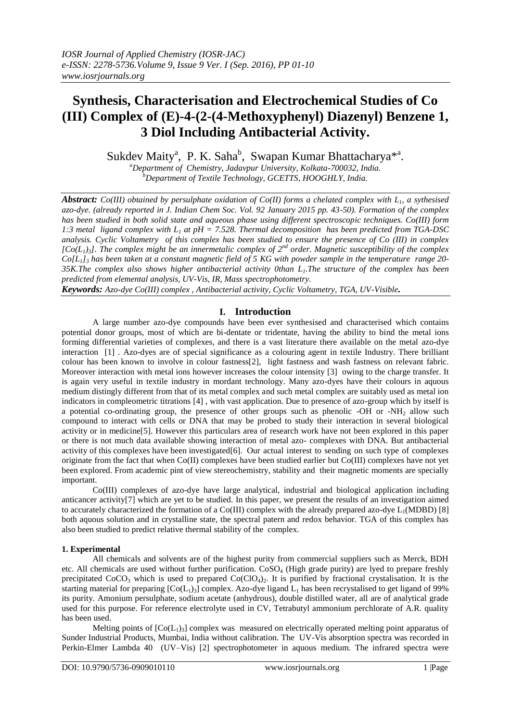# **Synthesis, Characterisation and Electrochemical Studies of Co (III) Complex of (E)-4-(2-(4-Methoxyphenyl) Diazenyl) Benzene 1, 3 Diol Including Antibacterial Activity.**

Sukdev Maity<sup>a</sup>, P. K. Saha<sup>b</sup>, Swapan Kumar Bhattacharya<sup>\*a</sup>.

*<sup>a</sup>Department of Chemistry, Jadavpur University, Kolkata-700032, India. <sup>b</sup>Department of Textile Technology, GCETTS, HOOGHLY, India.*

*Abstract: Co(III) obtained by persulphate oxidation of Co(II) forms a chelated complex with L1, a sythesised azo-dye. (already reported in J. Indian Chem Soc. Vol. 92 January 2015 pp. 43-50). Formation of the complex has been studied in both solid state and aqueous phase using different spectroscopic techniques. Co(III) form 1:3 metal ligand complex with L<sup>1</sup> at pH = 7.528. Thermal decomposition has been predicted from TGA-DSC analysis. Cyclic Voltametry of this complex has been studied to ensure the presence of Co (III) in complex*   $[Co(L_1)_3]$ . The complex might be an innermetalic complex of  $2^{nd}$  order. Magnetic susceptibility of the complex *Co[L1]<sup>3</sup> has been taken at a constant magnetic field of 5 KG with powder sample in the temperature range 20- 35K.The complex also shows higher antibacterial activity 0than L1.The structure of the complex has been predicted from elemental analysis, UV-Vis, IR, Mass spectrophotometry.*

*Keywords: Azo-dye Co(III) complex , Antibacterial activity, Cyclic Voltametry, TGA, UV-Visible.*

# **I. Introduction**

A large number azo-dye compounds have been ever synthesised and characterised which contains potential donor groups, most of which are bi-dentate or tridentate, having the ability to bind the metal ions forming differential varieties of complexes, and there is a vast literature there available on the metal azo-dye interaction [1] . Azo-dyes are of special significance as a colouring agent in textile Industry. There brilliant colour has been known to involve in colour fastness[2], light fastness and wash fastness on relevant fabric. Moreover interaction with metal ions however increases the colour intensity [3] owing to the charge transfer. It is again very useful in textile industry in mordant technology. Many azo-dyes have their colours in aquous medium distingly different from that of its metal complex and such metal complex are suitably used as metal ion indicators in compleometric titrations [4] , with vast application. Due to presence of azo-group which by itself is a potential co-ordinating group, the presence of other groups such as phenolic -OH or -NH<sub>2</sub> allow such compound to interact with cells or DNA that may be probed to study their interaction in several biological activity or in medicine[5]. However this particulars area of research work have not been explored in this paper or there is not much data available showing interaction of metal azo- complexes with DNA. But antibacterial activity of this complexes have been investigated $[6]$ . Our actual interest to sending on such type of complexes originate from the fact that when Co(II) complexes have been studied earlier but Co(III) complexes have not yet been explored. From academic pint of view stereochemistry, stability and their magnetic moments are specially important.

Co(III) complexes of azo-dye have large analytical, industrial and biological application including anticancer activity[7] which are yet to be studied. In this paper, we present the results of an investigation aimed to accurately characterized the formation of a  $Co(III)$  complex with the already prepared azo-dye  $L_1(MDBD)$  [8] both aquous solution and in crystalline state, the spectral patern and redox behavior. TGA of this complex has also been studied to predict relative thermal stability of the complex.

# **1. Experimental**

All chemicals and solvents are of the highest purity from commercial suppliers such as Merck, BDH etc. All chemicals are used without further purification. CoSO<sub>4</sub> (High grade purity) are lyed to prepare freshly precipitated  $CoCO<sub>3</sub>$  which is used to prepared  $Co(CIO<sub>4</sub>)$ . It is purified by fractional crystalisation. It is the starting material for preparing  $[Co(L<sub>1</sub>)<sub>3</sub>]$  complex. Azo-dye ligand  $L<sub>1</sub>$  has been recrystalised to get ligand of 99% its purity. Amonium persulphate, sodium acetate (anhydrous), double distilled water, all are of analytical grade used for this purpose. For reference electrolyte used in CV, Tetrabutyl ammonium perchlorate of A.R. quality has been used.

Melting points of  $[Co(L<sub>1</sub>)<sub>3</sub>]$  complex was measured on electrically operated melting point apparatus of Sunder Industrial Products, Mumbai, India without calibration. The UV-Vis absorption spectra was recorded in Perkin-Elmer Lambda 40 (UV–Vis) [2] spectrophotometer in aquous medium. The infrared spectra were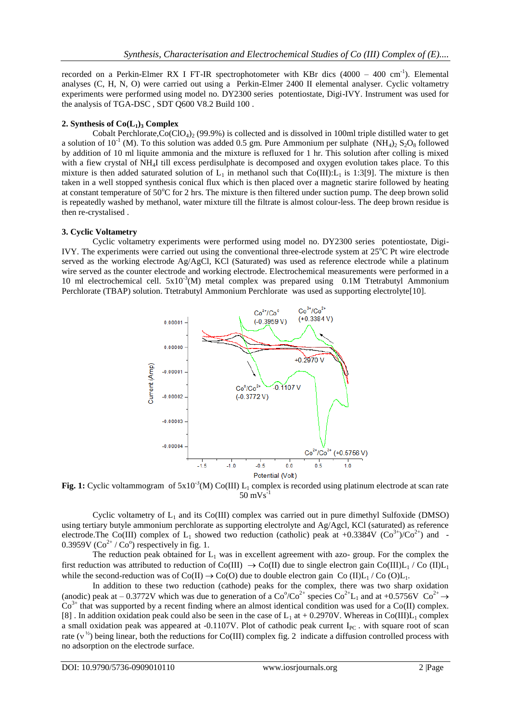recorded on a Perkin-Elmer RX I FT-IR spectrophotometer with KBr dics  $(4000 - 400 \text{ cm}^{-1})$ . Elemental analyses (C, H, N, O) were carried out using a Perkin-Elmer 2400 II elemental analyser. Cyclic voltametry experiments were performed using model no. DY2300 series potentiostate, Digi-IVY. Instrument was used for the analysis of TGA-DSC , SDT Q600 V8.2 Build 100 .

## 2. **Synthesis** of  $Co(L_1)$ **3 Complex**

Cobalt Perchlorate, $Co(CIO<sub>4</sub>)<sub>2</sub>$  (99.9%) is collected and is dissolved in 100ml triple distilled water to get a solution of 10<sup>-1</sup> (M). To this solution was added 0.5 gm. Pure Ammonium per sulphate (NH<sub>4</sub>)<sub>2</sub> S<sub>2</sub>O<sub>8</sub> followed by addition of 10 ml liquite ammonia and the mixture is refluxed for 1 hr. This solution after colling is mixed with a fiew crystal of NH<sub>4</sub>I till excess perdisulphate is decomposed and oxygen evolution takes place. To this mixture is then added saturated solution of  $L_1$  in methanol such that Co(III): $L_1$  is 1:3[9]. The mixture is then taken in a well stopped synthesis conical flux which is then placed over a magnetic starire followed by heating at constant temperature of  $50^{\circ}$ C for 2 hrs. The mixture is then filtered under suction pump. The deep brown solid is repeatedly washed by methanol, water mixture till the filtrate is almost colour-less. The deep brown residue is then re-crystalised .

# **3. Cyclic Voltametry**

Cyclic voltametry experiments were performed using model no. DY2300 series potentiostate, Digi-IVY. The experiments were carried out using the conventional three-electrode system at  $25^{\circ}$ C Pt wire electrode served as the working electrode Ag/AgCl, KCl (Saturated) was used as reference electrode while a platinum wire served as the counter electrode and working electrode. Electrochemical measurements were performed in a 10 ml electrochemical cell.  $5x10^{-3}$ (M) metal complex was prepared using 0.1M Ttetrabutyl Ammonium Perchlorate (TBAP) solution. Ttetrabutyl Ammonium Perchlorate was used as supporting electrolyte[10].



Fig. 1: Cyclic voltammogram of  $5x10^{-3}$ (M) Co(III) L<sub>1</sub> complex is recorded using platinum electrode at scan rate  $50 \text{ mVs}^{-1}$ 

Cyclic voltametry of  $L_1$  and its Co(III) complex was carried out in pure dimethyl Sulfoxide (DMSO) using tertiary butyle ammonium perchlorate as supporting electrolyte and Ag/Agcl, KCl (saturated) as reference electrode.The Co(III) complex of  $L_1$  showed two reduction (catholic) peak at +0.3384V (Co<sup>3+</sup>)/Co<sup>2+</sup>) and -0.3959V ( $Co<sup>2+</sup> / Co<sup>o</sup>$ ) respectively in fig. 1.

The reduction peak obtained for  $L_1$  was in excellent agreement with azo- group. For the complex the first reduction was attributed to reduction of Co(III)  $\rightarrow$  Co(II) due to single electron gain Co(III)L<sub>1</sub> / Co (II)L<sub>1</sub> while the second-reduction was of  $Co(II) \rightarrow Co(O)$  due to double electron gain Co  $(II)L_1 / Co(O)L_1$ .

In addition to these two reduction (cathode) peaks for the complex, there was two sharp oxidation (anodic) peak at  $-0.3772V$  which was due to generation of a Co<sup>o</sup>/Co<sup>2+</sup> species Co<sup>2+</sup>L<sub>1</sub> and at +0.5756V Co<sup>2+</sup>  $\rightarrow$ Co<sup>3+</sup> that was supported by a recent finding where an almost identical condition was used for a Co(II) complex. [8] . In addition oxidation peak could also be seen in the case of  $L_1$  at +0.2970V. Whereas in Co(III) $L_1$  complex a small oxidation peak was appeared at -0.1107V. Plot of cathodic peak current  $I_{PC}$ . with square root of scan rate ( $v^{\frac{1}{2}}$ ) being linear, both the reductions for Co(III) complex fig. 2 indicate a diffusion controlled process with no adsorption on the electrode surface.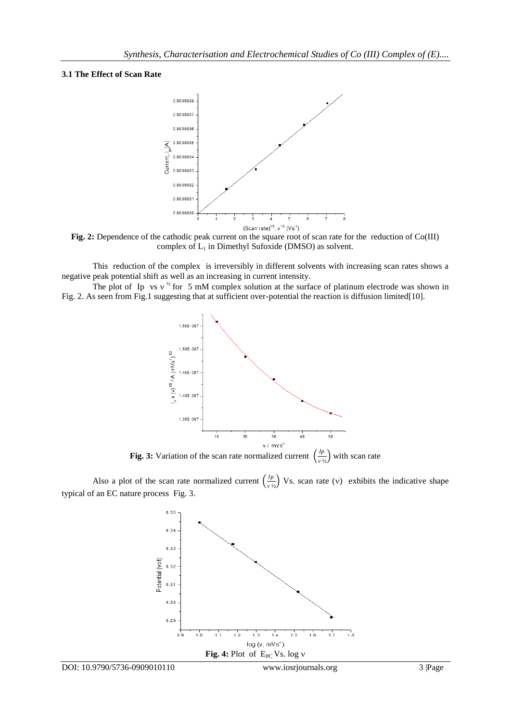## **3.1 The Effect of Scan Rate**



**Fig. 2:** Dependence of the cathodic peak current on the square root of scan rate for the reduction of Co(III) complex of  $L_1$  in Dimethyl Sufoxide (DMSO) as solvent.

This reduction of the complex is irreversibly in different solvents with increasing scan rates shows a negative peak potential shift as well as an increasing in current intensity.

The plot of Ip vs  $v^{\frac{1}{2}}$  for 5 mM complex solution at the surface of platinum electrode was shown in Fig. 2. As seen from Fig.1 suggesting that at sufficient over-potential the reaction is diffusion limited[10].



**Fig. 3:** Variation of the scan rate normalized current  $\left(\frac{lp}{p}\right)$  $\frac{P}{V^{1/2}}$  with scan rate

Also a plot of the scan rate normalized current  $\left(\frac{lp}{dt}\right)$  $\frac{P}{V^{1/2}}$  Vs. scan rate (v) exhibits the indicative shape typical of an EC nature process Fig. 3.

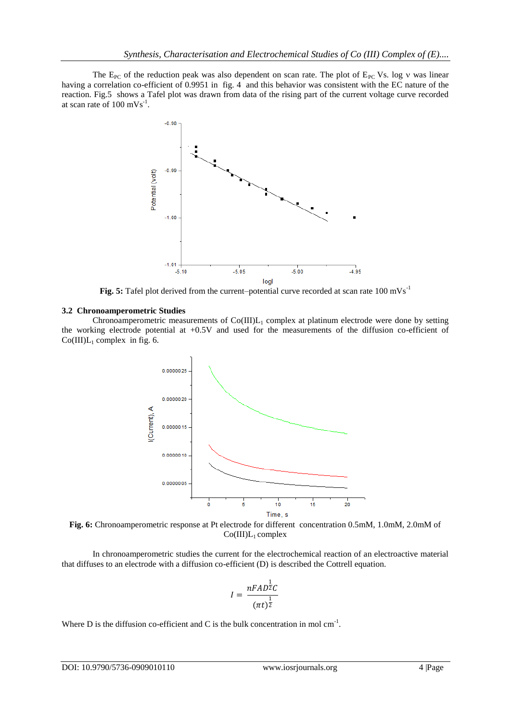The  $E_{PC}$  of the reduction peak was also dependent on scan rate. The plot of  $E_{PC}$  Vs. log v was linear having a correlation co-efficient of 0.9951 in fig. 4 and this behavior was consistent with the EC nature of the reaction. Fig.5 shows a Tafel plot was drawn from data of the rising part of the current voltage curve recorded at scan rate of  $100 \text{ mVs}^{-1}$ .



Fig. 5: Tafel plot derived from the current–potential curve recorded at scan rate 100 mVs<sup>-1</sup>

#### **3.2 Chronoamperometric Studies**

Chronoamperometric measurements of  $Co(III)L_1$  complex at platinum electrode were done by setting the working electrode potential at +0.5V and used for the measurements of the diffusion co-efficient of  $Co(III)L_1$  complex in fig. 6.



**Fig. 6:** Chronoamperometric response at Pt electrode for different concentration 0.5mM, 1.0mM, 2.0mM of  $Co(III)L_1$  complex

In chronoamperometric studies the current for the electrochemical reaction of an electroactive material that diffuses to an electrode with a diffusion co-efficient (D) is described the Cottrell equation.

$$
I = \frac{nFAD^{\frac{1}{2}}C}{(\pi t)^{\frac{1}{2}}}
$$

Where D is the diffusion co-efficient and C is the bulk concentration in mol  $cm<sup>-1</sup>$ .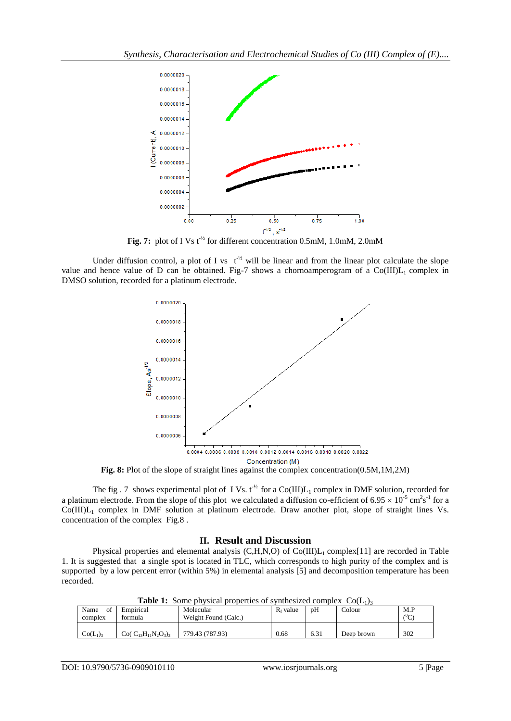

Fig. 7: plot of I Vs t<sup>-12</sup> for different concentration 0.5mM, 1.0mM, 2.0mM

Under diffusion control, a plot of I vs  $t^{-1/2}$  will be linear and from the linear plot calculate the slope value and hence value of D can be obtained. Fig-7 shows a chornoamperogram of a  $Co(III)L_1$  complex in DMSO solution, recorded for a platinum electrode.



**Fig. 8:** Plot of the slope of straight lines against the complex concentration(0.5M,1M,2M)

The fig. 7 shows experimental plot of I Vs.  $t^{\frac{1}{2}}$  for a Co(III) $L_1$  complex in DMF solution, recorded for a platinum electrode. From the slope of this plot we calculated a diffusion co-efficient of  $6.95 \times 10^{-5}$  cm<sup>2</sup>s<sup>-1</sup> for a  $Co(III)L_1$  complex in DMF solution at platinum electrode. Draw another plot, slope of straight lines Vs. concentration of the complex Fig.8 .

# **II. Result and Discussion**

Physical properties and elemental analysis  $(C,H,N,O)$  of  $Co(III)L<sub>1</sub> complex[11]$  are recorded in Table 1. It is suggested that a single spot is located in TLC, which corresponds to high purity of the complex and is supported by a low percent error (within 5%) in elemental analysis [5] and decomposition temperature has been recorded.

| Name<br>Ωt<br>complex | Empirical<br>formula       | Molecular<br>Weight Found (Calc.) | $R_f$ value | pH   | Colour     | M.P<br>$\sim$<br>◡ |
|-----------------------|----------------------------|-----------------------------------|-------------|------|------------|--------------------|
| $Co(L_1)_3$           | $Co(C_{13}H_{11}N_2O_3)_3$ | 779.43 (787.93)                   | 0.68        | 6.31 | Deep brown | 302                |

**Table 1:** Some physical properties of synthesized complex  $Co(L_1)$ <sub>3</sub>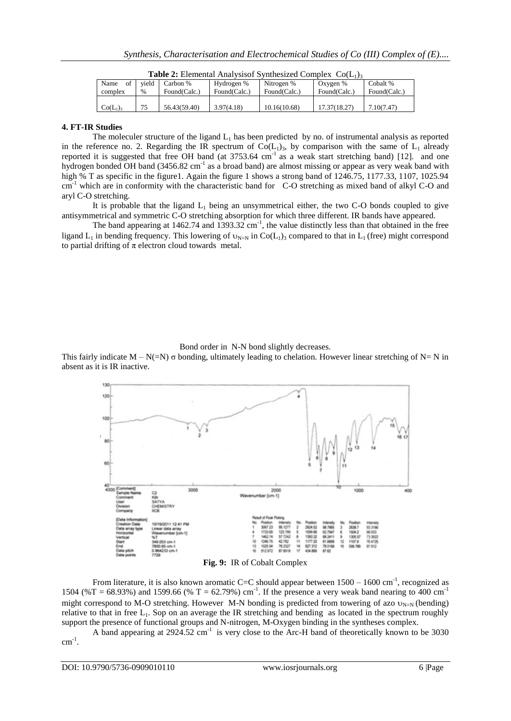| Name<br>of<br>complex | vield<br>$\%$ | Carbon %<br>Found(Calc.) | Hydrogen %<br>Found(Calc.) | Nitrogen %<br>Found(Calc.) | Oxygen %<br>Found(Calc.) | Cobalt %<br>Found(Calc.) |
|-----------------------|---------------|--------------------------|----------------------------|----------------------------|--------------------------|--------------------------|
| $Co(L_1)_3$           | 75            | 56.43(59.40)             | 3.97(4.18)                 | 10.16(10.68)               | 17.37(18.27)             | 7.10(7.47)               |

**Table 2:** Elemental Analysisof Synthesized Complex  $Co(L_1)$ <sub>3</sub>

# **4. FT-IR Studies**

The moleculer structure of the ligand  $L_1$  has been predicted by no. of instrumental analysis as reported in the reference no. 2. Regarding the IR spectrum of  $Co(L_1)$ , by comparison with the same of  $L_1$  already reported it is suggested that free OH band (at  $3753.64 \text{ cm}^{-1}$  as a weak start stretching band) [12]. and one hydrogen bonded OH band (3456.82 cm<sup>-1</sup> as a broad band) are almost missing or appear as very weak band with high % T as specific in the figure1. Again the figure 1 shows a strong band of 1246.75, 1177.33, 1107, 1025.94 cm<sup>-1</sup> which are in conformity with the characteristic band for C-O stretching as mixed band of alkyl C-O and aryl C-O stretching.

It is probable that the ligand  $L_1$  being an unsymmetrical either, the two C-O bonds coupled to give antisymmetrical and symmetric C-O stretching absorption for which three different. IR bands have appeared.

The band appearing at 1462.74 and  $1393.32$  cm<sup>-1</sup>, the value distinctly less than that obtained in the free ligand  $L_1$  in bending frequency. This lowering of  $v_{N=N}$  in Co( $L_1$ )<sub>3</sub> compared to that in  $L_1$  (free) might correspond to partial drifting of  $\pi$  electron cloud towards metal.

Bond order in N-N bond slightly decreases.

This fairly indicate  $M - N(=N)$  σ bonding, ultimately leading to chelation. However linear stretching of  $N = N$  in absent as it is IR inactive.



**Fig. 9:** IR of Cobalt Complex

From literature, it is also known aromatic C=C should appear between  $1500 - 1600$  cm<sup>-1</sup>, recognized as 1504 (%T = 68.93%) and 1599.66 (% T = 62.79%) cm<sup>-1</sup>. If the presence a very weak band nearing to 400 cm<sup>-1</sup> might correspond to M-O stretching. However M-N bonding is predicted from towering of azo  $v_{N=N}$  (bending) relative to that in free  $L_1$ . Sop on an average the IR stretching and bending as located in the spectrum roughly support the presence of functional groups and N-nitrogen, M-Oxygen binding in the syntheses complex.

A band appearing at 2924.52 cm<sup>-1</sup> is very close to the Arc-H band of theoretically known to be 3030  $cm^{-1}$ .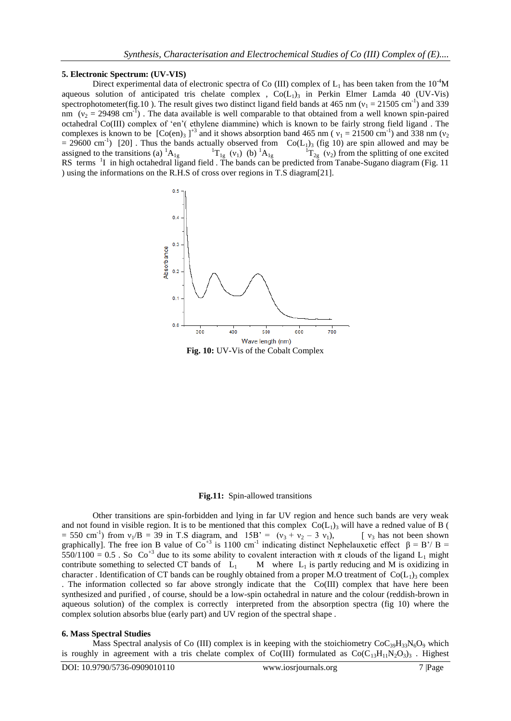#### **5. Electronic Spectrum: (UV-VIS)**

Direct experimental data of electronic spectra of Co (III) complex of  $L_1$  has been taken from the  $10^{-4}$ M aqueous solution of anticipated tris chelate complex ,  $Co(L<sub>1</sub>)$ <sub>3</sub> in Perkin Elmer Lamda 40 (UV-Vis) spectrophotometer(fig.10). The result gives two distinct ligand field bands at 465 nm ( $v_1 = 21505$  cm<sup>-1</sup>) and 339 nm  $(v_2 = 29498 \text{ cm}^{-1})$ . The data available is well comparable to that obtained from a well known spin-paired octahedral Co(III) complex of "en"( ethylene diammine) which is known to be fairly strong field ligand . The complexes is known to be  $[Co(en)_3]^{\text{+3}}$  and it shows absorption band 465 nm ( $v_1 = 21500 \text{ cm}^{-1}$ ) and 338 nm ( $v_2$ )  $= 29600 \text{ cm}^{-1}$  [20]. Thus the bands actually observed from  $Co(L_1)_3$  (fig 10) are spin allowed and may be assigned to the transitions (a)  ${}^{1}A_{1g}$   ${}^{1}T_{1g}$  (v<sub>1</sub>) (b)  ${}^{1}A_{1g}$  ${}^{1}T_{2g}$  (v<sub>2</sub>) from the splitting of one excited RS terms <sup>1</sup>I in high octahedral ligand field. The bands can be predicted from Tanabe-Sugano diagram (Fig. 11 ) using the informations on the R.H.S of cross over regions in T.S diagram[21].



#### **Fig.11:** Spin-allowed transitions

Other transitions are spin-forbidden and lying in far UV region and hence such bands are very weak and not found in visible region. It is to be mentioned that this complex  $Co(L<sub>1</sub>)$ <sub>3</sub> will have a redned value of B (  $= 550 \text{ cm}^{-1}$ ) from  $v_1/B = 39 \text{ in T.S diagram}$ , and  $15B' = (v_3 + v_2 - 3 v_1)$ , [  $v_3$  has not been shown graphically]. The free ion B value of  $Co^{+3}$  is 1100 cm<sup>-1</sup> indicating distinct Nephelauxetic effect  $\beta = B'/B =$ 550/1100 = 0.5 . So Co<sup>+3</sup> due to its some ability to covalent interaction with  $\pi$  clouds of the ligand L<sub>1</sub> might contribute something to selected CT bands of  $L_1$  M where  $L_1$  is partly reducing and M is oxidizing in character . Identification of CT bands can be roughly obtained from a proper M.O treatment of  $Co(L_1)$ <sub>3</sub> complex . The information collected so far above strongly indicate that the Co(III) complex that have here been synthesized and purified , of course, should be a low-spin octahedral in nature and the colour (reddish-brown in aqueous solution) of the complex is correctly interpreted from the absorption spectra (fig 10) where the complex solution absorbs blue (early part) and UV region of the spectral shape .

#### **6. Mass Spectral Studies**

Mass Spectral analysis of Co (III) complex is in keeping with the stoichiometry  $CoC_{39}H_{33}N_6O_9$  which is roughly in agreement with a tris chelate complex of Co(III) formulated as  $Co(C_{13}H_{11}N_2O_3)$ . Highest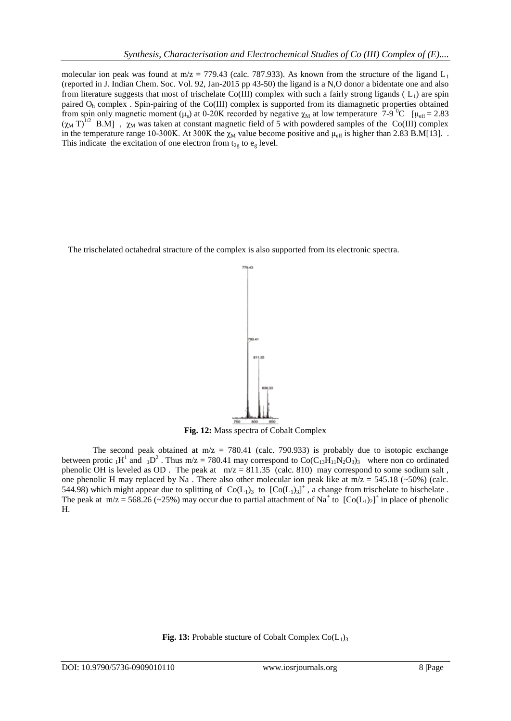molecular ion peak was found at m/z = 779.43 (calc. 787.933). As known from the structure of the ligand  $L_1$ (reported in J. Indian Chem. Soc. Vol. 92, Jan-2015 pp 43-50) the ligand is a N,O donor a bidentate one and also from literature suggests that most of trischelate Co(III) complex with such a fairly strong ligands ( $L_1$ ) are spin paired O<sup>h</sup> complex . Spin-pairing of the Co(III) complex is supported from its diamagnetic properties obtained from spin only magnetic moment ( $\mu_s$ ) at 0-20K recorded by negative  $\chi_M$  at low temperature 7-9<sup>0</sup>C [ $\mu_{eff}$  = 2.83  $(\chi_M T)^{1/2}$  B.M],  $\chi_M$  was taken at constant magnetic field of 5 with powdered samples of the Co(III) complex in the temperature range 10-300K. At 300K the  $\chi_M$  value become positive and  $\mu_{eff}$  is higher than 2.83 B.M[13]. . This indicate the excitation of one electron from  $t_{2g}$  to  $e_g$  level.

The trischelated octahedral stracture of the complex is also supported from its electronic spectra.



**Fig. 12:** Mass spectra of Cobalt Complex

The second peak obtained at  $m/z = 780.41$  (calc. 790.933) is probably due to isotopic exchange between protic  $_1H^1$  and  $_1D^2$ . Thus m/z = 780.41 may correspond to Co(C<sub>13</sub>H<sub>11</sub>N<sub>2</sub>O<sub>3</sub>)<sub>3</sub> where non co ordinated phenolic OH is leveled as OD. The peak at  $m/z = 811.35$  (calc. 810) may correspond to some sodium salt, one phenolic H may replaced by Na. There also other molecular ion peak like at  $m/z = 545.18$  (~50%) (calc. 544.98) which might appear due to splitting of  $Co(L_1)_3$  to  $[Co(L_1)_3]^+$ , a change from trischelate to bischelate. The peak at  $m/z = 568.26$  (~25%) may occur due to partial attachment of Na<sup>+</sup> to  $[Co(L_1)_2]^+$  in place of phenolic H.

**Fig. 13:** Probable stucture of Cobalt Complex  $Co(L_1)_3$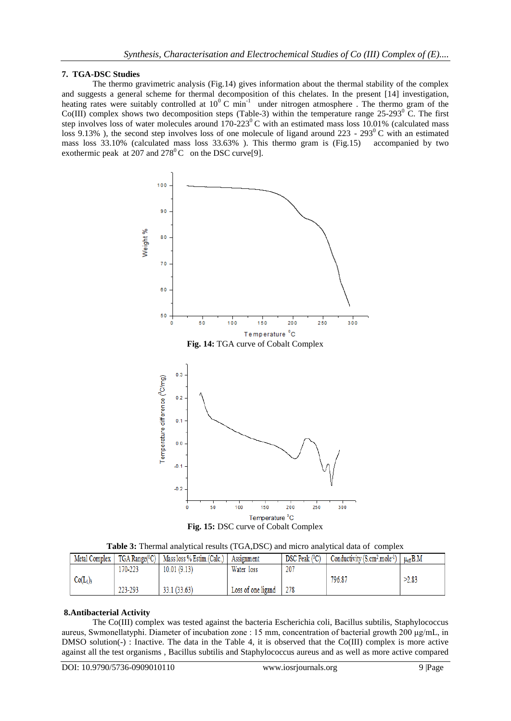# **7. TGA-DSC Studies**

The thermo gravimetric analysis (Fig.14) gives information about the thermal stability of the complex and suggests a general scheme for thermal decomposition of this chelates. In the present [14] investigation, heating rates were suitably controlled at  $10^{\circ}$  C min<sup>-1</sup> under nitrogen atmosphere. The thermo gram of the Co(III) complex shows two decomposition steps (Table-3) within the temperature range  $25{\text -}293^{\circ}$  C. The first step involves loss of water molecules around  $170-223^{\circ}$ C with an estimated mass loss 10.01% (calculated mass loss 9.13%), the second step involves loss of one molecule of ligand around 223 - 293<sup>0</sup>C with an estimated mass loss 33.10% (calculated mass loss 33.63% ). This thermo gram is (Fig.15) accompanied by two exothermic peak at 207 and  $278^{\circ}$ C on the DSC curve[9].



**Table 3:** Thermal analytical results (TGA,DSC) and micro analytical data of complex

|           | Metal Complex |         | $TGA Range(^{0}C)$   Mass loss % Estim.(Calc.) | Assignment         | DSC Peak (°C) | Conductivity (S.cm <sup>2</sup> .mole <sup>-1</sup> ) | $\mu_{\text{eff}} B.M$ |
|-----------|---------------|---------|------------------------------------------------|--------------------|---------------|-------------------------------------------------------|------------------------|
|           |               | 170-223 | 10.01(9.13)                                    | Water loss         | 207           |                                                       |                        |
| $Co(L_1)$ |               |         |                                                |                    |               | 796.87                                                | >2.83                  |
|           |               | 223-293 | 33.1 (33.63)                                   | Loss of one ligand | 278           |                                                       |                        |

# **8.Antibacterial Activity**

The Co(III) complex was tested against the bacteria Escherichia coli, Bacillus subtilis, Staphylococcus aureus, Swmonellatyphi. Diameter of incubation zone : 15 mm, concentration of bacterial growth 200 μg/mL, in DMSO solution(-) : Inactive. The data in the Table 4, it is observed that the Co(III) complex is more active against all the test organisms , Bacillus subtilis and Staphylococcus aureus and as well as more active compared